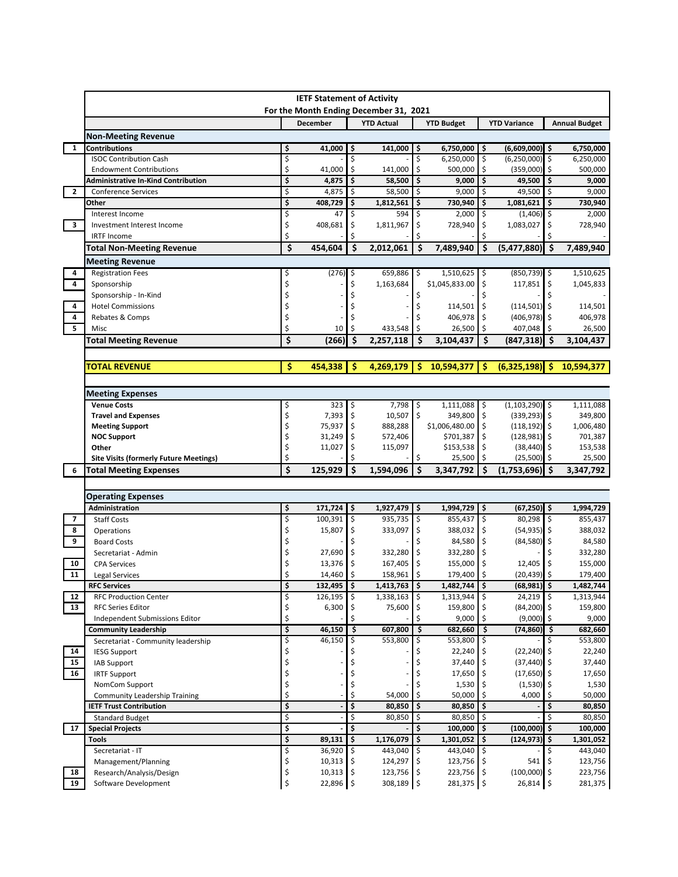|                         | <b>IETF Statement of Activity</b><br>For the Month Ending December 31, 2021 |          |                  |          |                       |     |                                |      |                                    |      |                      |
|-------------------------|-----------------------------------------------------------------------------|----------|------------------|----------|-----------------------|-----|--------------------------------|------|------------------------------------|------|----------------------|
|                         |                                                                             |          | <b>December</b>  |          | <b>YTD Actual</b>     |     | <b>YTD Budget</b>              |      | <b>YTD Variance</b>                |      | <b>Annual Budget</b> |
|                         | Non-Meeting Revenue                                                         |          |                  |          |                       |     |                                |      |                                    |      |                      |
| $\mathbf{1}$            | <b>Contributions</b>                                                        | \$       | 41,000           | \$       | 141,000               | \$  | 6,750,000                      | l \$ | $(6,609,000)$ \$                   |      | 6,750,000            |
|                         | <b>ISOC Contribution Cash</b>                                               | \$       |                  | Ś        |                       | \$  | 6,250,000                      | \$   | (6,250,000)                        | l\$  | 6,250,000            |
|                         | <b>Endowment Contributions</b>                                              | \$       | 41,000           | \$       | 141,000               | \$  | 500,000                        | \$   | (359,000)                          | ۱\$  | 500,000              |
|                         | <b>Administrative In-Kind Contribution</b>                                  | \$       | 4,875            | \$       | 58,500                | \$  | 9,000                          | \$   | 49,500                             | Ŝ.   | 9,000                |
| $\mathbf{2}$            | <b>Conference Services</b>                                                  | \$       | 4,875            | \$       | 58,500                | \$  | 9,000                          | l \$ | 49,500                             | \$   | 9,000                |
|                         | Other                                                                       | \$       | 408,729          | \$       | 1,812,561             | \$  | 730,940                        | \$   | 1,081,621                          | \$   | 730,940              |
|                         | Interest Income                                                             | \$       | 47               | \$       | 594                   | \$  | 2,000                          | ∣\$  | $(1,406)$ \$                       |      | 2,000                |
| $\overline{\mathbf{3}}$ | Investment Interest Income                                                  | \$       | 408,681          | \$       | 1,811,967             | \$  | 728,940                        | \$   | 1,083,027                          | \$   | 728,940              |
|                         | <b>IRTF Income</b>                                                          | Ś        |                  | Ś        |                       |     |                                | \$   |                                    |      |                      |
|                         | Total Non-Meeting Revenue                                                   | \$       | 454,604          | \$       | 2,012,061             | \$  | 7,489,940                      | \$   | (5,477,880)                        | ۱\$  | 7,489,940            |
|                         | Meeting Revenue                                                             |          |                  |          |                       |     |                                |      |                                    |      |                      |
| 4                       | <b>Registration Fees</b>                                                    | \$       | $(276)$ \$       |          | 659,886 \$            |     | 1,510,625 \$                   |      | $(850, 739)$ \$                    |      | 1,510,625            |
| $\overline{4}$          | Sponsorship                                                                 | \$       |                  | Ś        | 1,163,684             |     | \$1,045,833.00                 | \$   | 117,851                            | \$ ا | 1,045,833            |
|                         | Sponsorship - In-Kind                                                       |          |                  |          |                       | \$  |                                |      |                                    |      |                      |
| 4                       | <b>Hotel Commissions</b>                                                    |          |                  |          |                       | \$  | $114,501$ \$                   |      | $(114, 501)$ \$                    |      | 114,501              |
| 4                       | Rebates & Comps                                                             | \$       |                  |          |                       |     | 406,978                        | l\$  | $(406, 978)$ \$                    |      | 406,978              |
| 5                       | Misc                                                                        | \$       | 10               | Ś        | 433,548               | \$  | 26,500                         | l\$  | 407,048                            |      | 26,500               |
|                         | <b>Total Meeting Revenue</b>                                                | \$       | (266)            | \$       | 2,257,118             | \$  | 3,104,437                      | \$   | (847, 318)                         | ۱\$  | 3,104,437            |
|                         |                                                                             |          |                  |          |                       |     |                                |      |                                    |      |                      |
|                         | TOTAL REVENUE                                                               | Ś        | 454,338          | Ŝ        | 4,269,179             | -S  | 10,594,377                     | Ŝ    | (6,325,198)                        | S    | 10,594,377           |
|                         |                                                                             |          |                  |          |                       |     |                                |      |                                    |      |                      |
|                         | <b>Meeting Expenses</b>                                                     |          |                  |          |                       |     |                                |      |                                    |      |                      |
|                         | <b>Venue Costs</b>                                                          | Ş        | 323              | Ş        | $7,798$ \$            |     | 1,111,088                      | l\$  | $(1,103,290)$ \$                   |      | 1,111,088            |
|                         | <b>Travel and Expenses</b>                                                  | \$       | 7,393            | \$       | $10,507$ \$           |     | 349,800                        | \$   | $(339, 293)$ \$                    |      | 349,800              |
|                         | <b>Meeting Support</b><br><b>NOC Support</b>                                | \$<br>\$ | 75,937<br>31,249 | \$<br>\$ | 888,288<br>572,406    |     | \$1,006,480.00 \$<br>\$701,387 | \$   | $(118, 192)$ \$<br>$(128, 981)$ \$ |      | 1,006,480<br>701,387 |
|                         | Other                                                                       | \$       | 11,027           | \$       | 115,097               |     | \$153,538                      | \$   | $(38, 440)$ \$                     |      | 153,538              |
|                         | <b>Site Visits (formerly Future Meetings)</b>                               | \$       |                  |          |                       | \$  | 25,500                         | \$   | (25, 500)                          | l\$  | 25,500               |
| 6                       | <b>Total Meeting Expenses</b>                                               | Ś        | 125,929          | \$       | 1,594,096             | \$  | 3,347,792                      | \$   | $(1,753,696)$ \$                   |      | 3,347,792            |
|                         |                                                                             |          |                  |          |                       |     |                                |      |                                    |      |                      |
|                         | <b>Operating Expenses</b>                                                   |          |                  |          |                       |     |                                |      |                                    |      |                      |
|                         | Administration                                                              | \$       | $171,724$ \$     |          | $1,927,479$ \$        |     | 1,994,729 \$                   |      | $(67, 250)$ \$                     |      | 1,994,729            |
| 7                       | <b>Staff Costs</b>                                                          | \$       | 100,391          | \$ ا     | 935,735 \$            |     | 855,437 \$                     |      | 80,298                             | ∣\$  | 855,437              |
| 8                       | Operations                                                                  | \$       | 15,807           | \$       | 333,097               | \$  | 388,032 \$                     |      | $(54, 935)$ \$                     |      | 388,032              |
| 9                       | <b>Board Costs</b>                                                          | Ś        |                  | Ś        |                       |     | 84,580 \$                      |      | $(84,580)$ \$                      |      | 84,580               |
|                         | Secretariat - Admin                                                         | \$       | 27,690           | \$       | 332,280 \$            |     | 332,280 \$                     |      |                                    |      | 332,280              |
| 10                      | <b>CPA Services</b>                                                         | \$       | 13,376           | \$       | 167,405               | \$  | 155,000                        | \$   | 12,405                             |      | 155,000              |
| 11                      | <b>Legal Services</b>                                                       | Ś        | 14,460           | \$       | 158,961               | -\$ | 179,400                        | \$   | (20, 439)                          | l \$ | 179,400              |
|                         | <b>RFC Services</b>                                                         | Ş        | 132,495 \$       |          | $1,413,763$ \$        |     | 1,482,744 \$                   |      | $(68,981)$ \$                      |      | 1,482,744            |
| 12                      | <b>RFC Production Center</b>                                                | \$       | 126,195          | ∣\$      | $1,338,163$ \$        |     | 1,313,944 \$                   |      | 24,219                             | l\$  | 1,313,944            |
| 13                      | <b>RFC Series Editor</b>                                                    | \$       | 6,300            | \$       | 75,600                | \$  | 159,800                        |      | $(84,200)$ \$                      |      | 159,800              |
|                         | Independent Submissions Editor                                              | \$       |                  | \$       |                       | \$  | 9,000                          | -\$  | (9,000)                            | l\$  | 9,000                |
|                         | <b>Community Leadership</b>                                                 | \$       | 46,150           | \$       | 607,800               | \$  | 682,660                        | Ŝ.   | $(74,860)$ \$                      |      | 682,660              |
|                         | Secretariat - Community leadership                                          | \$       | 46,150           | \$       | 553,800               | \$  | 553,800 \$                     |      |                                    | -\$  | 553,800              |
| 14                      | <b>IESG Support</b>                                                         | \$       |                  |          |                       |     | 22,240                         |      | $(22, 240)$ \$                     |      | 22,240               |
| 15                      | IAB Support                                                                 | \$       |                  |          |                       | \$  | 37,440 \$                      |      | $(37, 440)$ \$                     |      | 37,440               |
| 16                      | <b>IRTF Support</b>                                                         | \$       |                  |          |                       | \$  | $17,650$   \$                  |      | $(17,650)$ \$                      |      | 17,650               |
|                         | NomCom Support                                                              | \$       |                  |          |                       |     | 1,530                          |      | $(1,530)$ \$                       |      | 1,530                |
|                         | <b>Community Leadership Training</b>                                        | \$       |                  |          | 54,000                | \$  | 50,000                         |      | 4,000                              |      | 50,000               |
|                         | <b>IETF Trust Contribution</b>                                              | \$       |                  | \$       | 80,850                | \$  | 80,850                         | l \$ |                                    | \$   | 80,850               |
|                         | <b>Standard Budget</b>                                                      | \$       |                  | \$       | 80,850                | \$  | 80,850                         | l \$ |                                    | \$   | 80,850               |
| 17                      | <b>Special Projects</b>                                                     | \$       |                  | \$       |                       | \$  | 100,000                        | I\$  | (100,000) \$                       |      | 100,000              |
|                         | <b>Tools</b>                                                                | \$       | 89,131           | \$       | 1,176,079             | \$  | 1,301,052                      | l \$ | (124,973) \$                       |      | 1,301,052            |
|                         | Secretariat - IT<br>Management/Planning                                     | \$<br>\$ | 36,920<br>10,313 | \$<br>\$ | 443,040<br>124,297 \$ |     | 443,040 \$<br>$123,756$ \$     |      | 541                                | ۱\$  | 443,040<br>123,756   |
| 18                      | Research/Analysis/Design                                                    | \$       | 10,313           | -\$      | 123,756 \$            |     | 223,756 \$                     |      | $(100,000)$ \$                     |      | 223,756              |
| 19                      | Software Development                                                        | \$       | 22,896 \$        |          | 308,189 \$            |     | 281,375 \$                     |      | 26,814                             | \$   | 281,375              |
|                         |                                                                             |          |                  |          |                       |     |                                |      |                                    |      |                      |